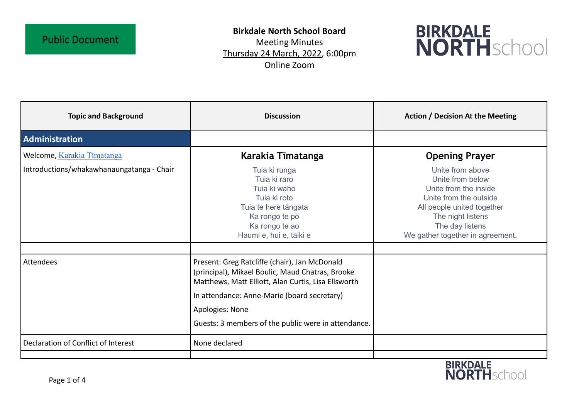## **Public Document**

## **Birkdale North School Board**

Meeting Minutes Thursday 24 March, 2022, 6:00pm Online Zoom



| <b>Topic and Background</b>               | <b>Discussion</b>                                                                                                                                                                                                                                                                 | <b>Action / Decision At the Meeting</b>                                                                                                                                                           |
|-------------------------------------------|-----------------------------------------------------------------------------------------------------------------------------------------------------------------------------------------------------------------------------------------------------------------------------------|---------------------------------------------------------------------------------------------------------------------------------------------------------------------------------------------------|
| Administration                            |                                                                                                                                                                                                                                                                                   |                                                                                                                                                                                                   |
| Welcome, Karakia Tīmatanga                | Karakia Tīmatanga                                                                                                                                                                                                                                                                 | <b>Opening Prayer</b>                                                                                                                                                                             |
| Introductions/whakawhanaungatanga - Chair | Tuia ki runga<br>Tuia ki raro<br>Tuia ki waho<br>Tuia ki roto<br>Tuia te here tāngata<br>Ka rongo te pō<br>Ka rongo te ao<br>Haumi e, hui e, tāiki e                                                                                                                              | Unite from above<br>Unite from below<br>Unite from the inside<br>Unite from the outside<br>All people united together<br>The night listens<br>The day listens<br>We gather together in agreement. |
|                                           |                                                                                                                                                                                                                                                                                   |                                                                                                                                                                                                   |
| Attendees                                 | Present: Greg Ratcliffe (chair), Jan McDonald<br>(principal), Mikael Boulic, Maud Chatras, Brooke<br>Matthews, Matt Elliott, Alan Curtis, Lisa Ellsworth<br>In attendance: Anne-Marie (board secretary)<br>Apologies: None<br>Guests: 3 members of the public were in attendance. |                                                                                                                                                                                                   |
| Declaration of Conflict of Interest       | None declared                                                                                                                                                                                                                                                                     |                                                                                                                                                                                                   |
|                                           |                                                                                                                                                                                                                                                                                   |                                                                                                                                                                                                   |

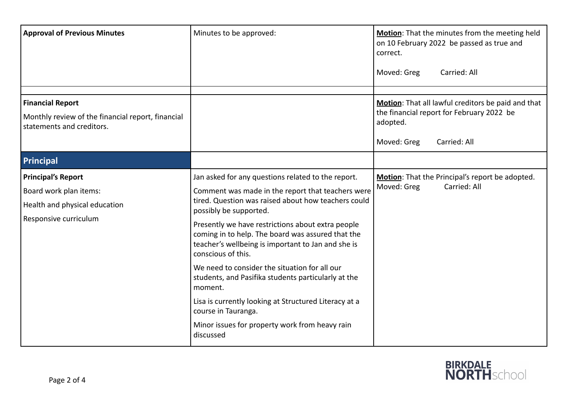| <b>Approval of Previous Minutes</b>                                            | Minutes to be approved:                                                                                                                                                            | Motion: That the minutes from the meeting held<br>on 10 February 2022 be passed as true and<br>correct.<br>Moved: Greg<br>Carried: All |
|--------------------------------------------------------------------------------|------------------------------------------------------------------------------------------------------------------------------------------------------------------------------------|----------------------------------------------------------------------------------------------------------------------------------------|
|                                                                                |                                                                                                                                                                                    |                                                                                                                                        |
| <b>Financial Report</b>                                                        |                                                                                                                                                                                    | Motion: That all lawful creditors be paid and that                                                                                     |
| Monthly review of the financial report, financial<br>statements and creditors. |                                                                                                                                                                                    | the financial report for February 2022 be<br>adopted.                                                                                  |
|                                                                                |                                                                                                                                                                                    | Moved: Greg<br>Carried: All                                                                                                            |
| Principal                                                                      |                                                                                                                                                                                    |                                                                                                                                        |
| Principal's Report                                                             | Jan asked for any questions related to the report.                                                                                                                                 | Motion: That the Principal's report be adopted.                                                                                        |
| Board work plan items:                                                         | Comment was made in the report that teachers were                                                                                                                                  | Moved: Greg<br>Carried: All                                                                                                            |
| Health and physical education                                                  | tired. Question was raised about how teachers could<br>possibly be supported.                                                                                                      |                                                                                                                                        |
| Responsive curriculum                                                          | Presently we have restrictions about extra people<br>coming in to help. The board was assured that the<br>teacher's wellbeing is important to Jan and she is<br>conscious of this. |                                                                                                                                        |
|                                                                                | We need to consider the situation for all our<br>students, and Pasifika students particularly at the<br>moment.                                                                    |                                                                                                                                        |
|                                                                                | Lisa is currently looking at Structured Literacy at a<br>course in Tauranga.                                                                                                       |                                                                                                                                        |
|                                                                                | Minor issues for property work from heavy rain<br>discussed                                                                                                                        |                                                                                                                                        |

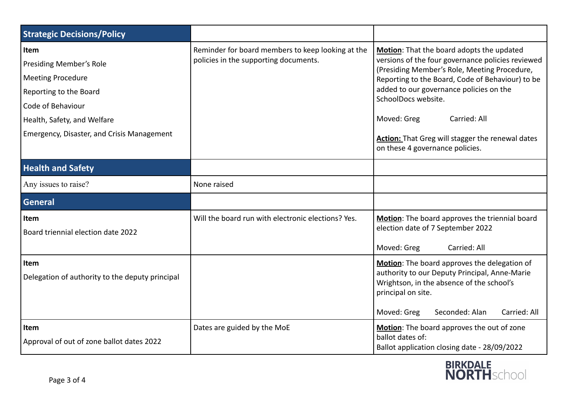| <b>Strategic Decisions/Policy</b>                                                                                                                                                              |                                                                                            |                                                                                                                                                                                                                                                                                                                                                                                            |
|------------------------------------------------------------------------------------------------------------------------------------------------------------------------------------------------|--------------------------------------------------------------------------------------------|--------------------------------------------------------------------------------------------------------------------------------------------------------------------------------------------------------------------------------------------------------------------------------------------------------------------------------------------------------------------------------------------|
| Item<br><b>Presiding Member's Role</b><br><b>Meeting Procedure</b><br>Reporting to the Board<br>Code of Behaviour<br>Health, Safety, and Welfare<br>Emergency, Disaster, and Crisis Management | Reminder for board members to keep looking at the<br>policies in the supporting documents. | Motion: That the board adopts the updated<br>versions of the four governance policies reviewed<br>(Presiding Member's Role, Meeting Procedure,<br>Reporting to the Board, Code of Behaviour) to be<br>added to our governance policies on the<br>SchoolDocs website.<br>Moved: Greg<br>Carried: All<br>Action: That Greg will stagger the renewal dates<br>on these 4 governance policies. |
| <b>Health and Safety</b>                                                                                                                                                                       |                                                                                            |                                                                                                                                                                                                                                                                                                                                                                                            |
| Any issues to raise?                                                                                                                                                                           | None raised                                                                                |                                                                                                                                                                                                                                                                                                                                                                                            |
| <b>General</b>                                                                                                                                                                                 |                                                                                            |                                                                                                                                                                                                                                                                                                                                                                                            |
| Item<br>Board triennial election date 2022                                                                                                                                                     | Will the board run with electronic elections? Yes.                                         | Motion: The board approves the triennial board<br>election date of 7 September 2022<br>Moved: Greg<br>Carried: All                                                                                                                                                                                                                                                                         |
| Item<br>Delegation of authority to the deputy principal                                                                                                                                        |                                                                                            | Motion: The board approves the delegation of<br>authority to our Deputy Principal, Anne-Marie<br>Wrightson, in the absence of the school's<br>principal on site.<br>Moved: Greg<br>Seconded: Alan<br>Carried: All                                                                                                                                                                          |
| Item<br>Approval of out of zone ballot dates 2022                                                                                                                                              | Dates are guided by the MoE                                                                | Motion: The board approves the out of zone<br>ballot dates of:<br>Ballot application closing date - 28/09/2022                                                                                                                                                                                                                                                                             |